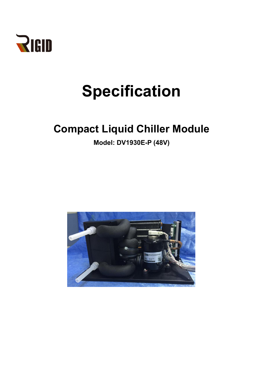

# **Specification**

# **Compact Liquid Chiller Module**

**Model: DV1930E-P (48V)**

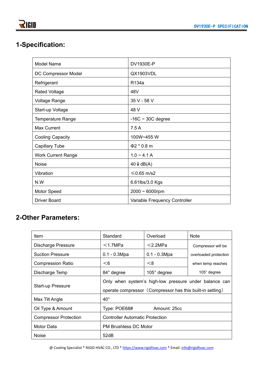# **1-Specification:**

| <b>Model Name</b>         | DV1930E-P                     |
|---------------------------|-------------------------------|
| DC Compressor Model       | QX1903VDL                     |
| Refrigerant               | R134a                         |
| <b>Rated Voltage</b>      | 48V                           |
| <b>Voltage Range</b>      | 35 V - 58 V                   |
| Start-up Voltage          | 48 V                          |
| <b>Temperature Range</b>  | $-16C \sim 30C$ degree        |
| <b>Max Current</b>        | 7.5A                          |
| <b>Cooling Capacity</b>   | 100W~455 W                    |
| <b>Capillary Tube</b>     | $\Phi$ 2 * 0.8 m              |
| <b>Work Current Range</b> | $1.0 - 4.1 A$                 |
| <b>Noise</b>              | $40 \downarrow$ dB(A)         |
| Vibration                 | $≤0.65$ m/s2                  |
| N.W                       | 6.61lbs/3.0 Kgs               |
| Motor Speed               | $2000 \sim 6000$ rpm          |
| <b>Driver Board</b>       | Variable Frequency Controller |

### **2-Other Parameters:**

| Item                         | Standard                                                                                                            | Overload       | <b>Note</b>           |  |  |
|------------------------------|---------------------------------------------------------------------------------------------------------------------|----------------|-----------------------|--|--|
| <b>Discharge Pressure</b>    | $<$ 1.7MPa                                                                                                          | $<$ 2.2MPa     | Compressor will be    |  |  |
| <b>Suction Pressure</b>      | $0.1 - 0.3Mpa$                                                                                                      | $0.1 - 0.3Mpa$ | overloaded protection |  |  |
| <b>Compression Ratio</b>     | $<$ 6                                                                                                               | < 8            | when temp reaches     |  |  |
| Discharge Temp               | 84° degree                                                                                                          | 105° degree    | 105° degree           |  |  |
| <b>Start-up Pressure</b>     | Only when system's high-low pressure under balance can<br>operate compressor (Compressor has this built-in setting) |                |                       |  |  |
| Max Tilt Angle               | $40^{\circ}$                                                                                                        |                |                       |  |  |
| Oil Type & Amount            | Type: POE68#                                                                                                        | Amount: 25cc   |                       |  |  |
| <b>Compressor Protection</b> | <b>Controller Automatic Protection</b>                                                                              |                |                       |  |  |
| Motor Data                   | PM Brushless DC Motor                                                                                               |                |                       |  |  |
| <b>Noise</b>                 | 52dB                                                                                                                |                |                       |  |  |

@ Cooling Specialist \* RIGID HVAC CO., LTD \* <https://www.rigidhvac.com> \* Email: [info@rigidhvac.com](mailto:info@rigidhvac.com)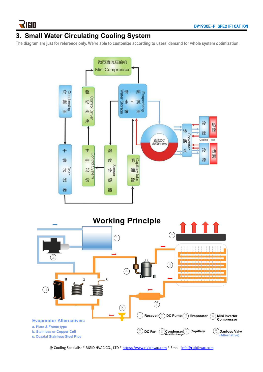#### **3. Small Water Circulating Cooling System**

The diagram are just for reference only. We're able to customize according to users' demand for whole system optimization.



@ Cooling Specialist \* RIGID HVAC CO., LTD \* <https://www.rigidhvac.com> \* Email: [info@rigidhvac.com](mailto:info@rigidhvac.com)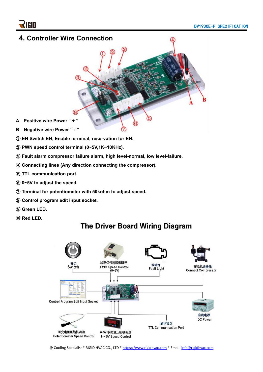

- ① **EN Switch EN, Enable terminal, reservation for EN.**
- ② **PWN speed control terminal (0~5V,1K~10KHz).**
- ③ **Fault alarm compressor failure alarm, high level-normal, low level-failure.**
- ④ **Connecting lines (Any direction connecting the compressor).**
- ⑤ **TTL communication port.**
- ⑥ **0~5V to adjust the speed.**
- ⑦ **Terminal for potentiometer with 50kohm to adjust speed.**
- ⑧ **Control program edit input socket.**
- ⑨ **Green LED.**
- ⑩ **Red LED.**



## The Driver Board Wiring Diagram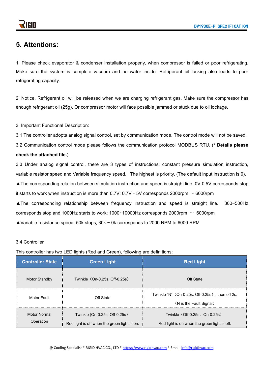#### **5. Attentions:**

1. Please check evaporator & condenser installation properly, when compressor is failed or poor refrigerating. Make sure the system is complete vacuum and no water inside. Refrigerant oil lacking also leads to poor refrigerating capacity.

2. Notice, Refrigerant oil will be released when we are charging refrigerant gas. Make sure the compressor has enough refrigerant oil (25g). Or compressor motor will face possible jammed or stuck due to oil lockage.<br>3. Important Functional Description:

3.1 The controller adopts analog signal control, set by communication mode. The control mode will not be saved.

3.2 Communication control mode please follows the communication protocol MODBUS RTU. (**\* Details please**

#### **check the attached file.**)

3.3 Under analog signal control, there are 3 types of instructions: constant pressure simulation instruction, variable resistor speed and Variable frequency speed. The highest is priority. (The default input instruction is 0).

▲The corresponding relation between simulation instruction and speed is straight line. 0V-0.5V corresponds stop,

it starts to work when instruction is more than  $0.7V$ ;  $0.7V - 5V$  corresponds 2000rpm  $\sim 6000$ rpm

▲The corresponding relationship between frequency instruction and speed is straight line. 300~500Hz corresponds stop and 1000Hz starts to work; 1000~10000Hz corresponds 2000rpm  $\sim 6000$ rpm

▲Variable resistance speed, 50k stops, 30k ~ 0k corresponds to 2000 RPM to 6000 RPM

#### 3.4 Controller

This controller has two LED lights (Red and Green), following are definitions:

| <b>Controller State</b>          | <b>Green Light</b>                                                                      | <b>Red Light</b>                                                              |  |
|----------------------------------|-----------------------------------------------------------------------------------------|-------------------------------------------------------------------------------|--|
| <b>Motor Standby</b>             | Twinkle (On-0.25s, Off-0.25s)                                                           | Off State                                                                     |  |
| Motor Fault                      | Twinkle "N" (On-0.25s, Off-0.25s), then off 2s.<br>Off State<br>(N is the Fault Signal) |                                                                               |  |
| <b>Motor Normal</b><br>Operation | Twinkle (On-0.25s, Off-0.25s)<br>Red light is off when the green light is on.           | Twinkle (Off-0.25s, On-0.25s)<br>Red light is on when the green light is off. |  |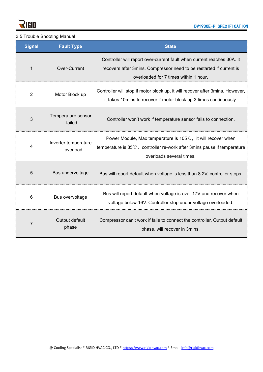

#### 3.5 Trouble Shooting Manual

| <b>Signal</b>  | <b>Fault Type</b>                | <b>State</b>                                                                                                                                                                             |  |
|----------------|----------------------------------|------------------------------------------------------------------------------------------------------------------------------------------------------------------------------------------|--|
|                | Over-Current                     | Controller will report over-current fault when current reaches 30A. It<br>recovers after 3mins. Compressor need to be restarted if current is<br>overloaded for 7 times within 1 hour.   |  |
| $\overline{2}$ | Motor Block up                   | Controller will stop if motor block up, it will recover after 3mins. However,<br>it takes 10 mins to recover if motor block up 3 times continuously.                                     |  |
| 3              | Temperature sensor<br>failed     | Controller won't work if temperature sensor fails to connection.                                                                                                                         |  |
| 4              | Inverter temperature<br>overload | Power Module, Max temperature is $105^{\circ}$ C, it will recover when<br>temperature is $85^{\circ}$ C, controller re-work after 3mins pause if temperature<br>overloads several times. |  |
| 5              | Bus undervoltage                 | Bus will report default when voltage is less than 8.2V, controller stops.                                                                                                                |  |
| 6              | Bus overvoltage                  | Bus will report default when voltage is over 17V and recover when<br>voltage below 16V. Controller stop under voltage overloaded.                                                        |  |
| $\overline{7}$ | Output default<br>phase          | Compressor can't work if fails to connect the controller. Output default<br>phase, will recover in 3mins.                                                                                |  |